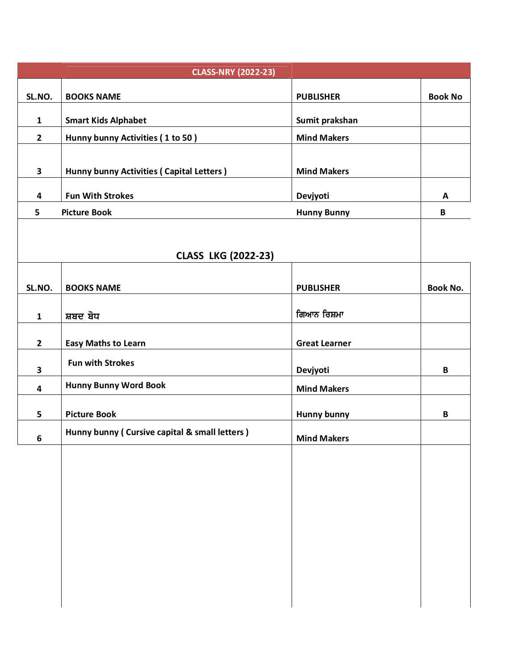| <b>CLASS-NRY (2022-23)</b> |                                               |                      |                 |
|----------------------------|-----------------------------------------------|----------------------|-----------------|
| SL.NO.                     | <b>BOOKS NAME</b>                             | <b>PUBLISHER</b>     | <b>Book No</b>  |
| $\mathbf{1}$               | <b>Smart Kids Alphabet</b>                    | Sumit prakshan       |                 |
| $\overline{2}$             | Hunny bunny Activities (1 to 50)              | <b>Mind Makers</b>   |                 |
|                            |                                               |                      |                 |
| $\overline{\mathbf{3}}$    | Hunny bunny Activities (Capital Letters)      | <b>Mind Makers</b>   |                 |
| 4                          | <b>Fun With Strokes</b>                       | Devjyoti             | A               |
| 5                          | <b>Picture Book</b>                           | <b>Hunny Bunny</b>   | $\, {\bf B}$    |
|                            |                                               |                      |                 |
|                            | <b>CLASS LKG (2022-23)</b>                    |                      |                 |
| SL.NO.                     | <b>BOOKS NAME</b>                             | <b>PUBLISHER</b>     | <b>Book No.</b> |
| $\mathbf{1}$               | ਸ਼ਬਦ ਬੋਧ                                      | ਗਿਆਨ ਰਿਸ਼ਮਾ          |                 |
| $\overline{2}$             | <b>Easy Maths to Learn</b>                    | <b>Great Learner</b> |                 |
| 3                          | <b>Fun with Strokes</b>                       | Devjyoti             | B               |
| 4                          | <b>Hunny Bunny Word Book</b>                  | <b>Mind Makers</b>   |                 |
| 5                          | <b>Picture Book</b>                           | <b>Hunny bunny</b>   | B               |
| 6                          | Hunny bunny (Cursive capital & small letters) | <b>Mind Makers</b>   |                 |
|                            |                                               |                      |                 |
|                            |                                               |                      |                 |
|                            |                                               |                      |                 |
|                            |                                               |                      |                 |
|                            |                                               |                      |                 |
|                            |                                               |                      |                 |
|                            |                                               |                      |                 |
|                            |                                               |                      |                 |
|                            |                                               |                      |                 |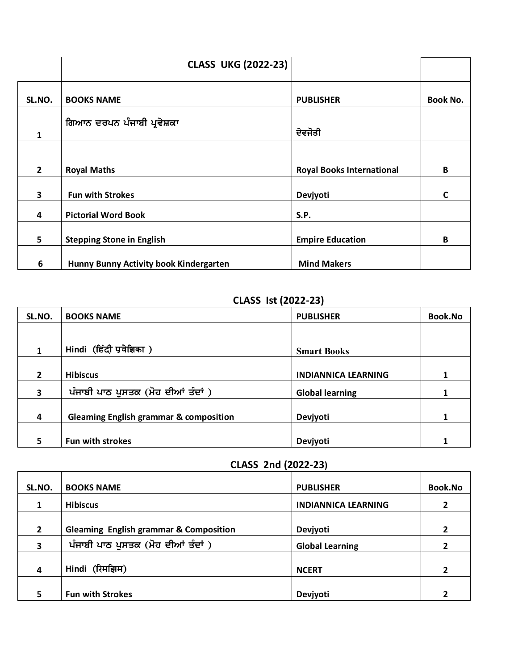|                | <b>CLASS UKG (2022-23)</b>             |                                  |                 |
|----------------|----------------------------------------|----------------------------------|-----------------|
| SL.NO.         | <b>BOOKS NAME</b>                      | <b>PUBLISHER</b>                 | <b>Book No.</b> |
| 1              | ਗਿਆਨ ਦਰਪਨ ਪੰਜਾਬੀ ਪ੍ਰਵੇਸ਼ਕਾ             | ਦੇਵਜੋਤੀ                          |                 |
|                |                                        |                                  |                 |
| $\overline{2}$ | <b>Royal Maths</b>                     | <b>Royal Books International</b> | B               |
| 3              | <b>Fun with Strokes</b>                | Devjyoti                         | C               |
| 4              | <b>Pictorial Word Book</b>             | S.P.                             |                 |
| 5              | <b>Stepping Stone in English</b>       | <b>Empire Education</b>          | B               |
| 6              | Hunny Bunny Activity book Kindergarten | <b>Mind Makers</b>               |                 |

### **CLASS Ist (2022-23)**

| SL.NO.         | <b>BOOKS NAME</b>                                 | <b>PUBLISHER</b>           | <b>Book.No</b> |
|----------------|---------------------------------------------------|----------------------------|----------------|
|                |                                                   |                            |                |
| 1              | Hindi (हिंदी प्रवेशिका)                           | <b>Smart Books</b>         |                |
|                |                                                   |                            |                |
| $\overline{2}$ | <b>Hibiscus</b>                                   | <b>INDIANNICA LEARNING</b> |                |
| 3              | ਪੰਜਾਬੀ ਪਾਠ ਪੁਸਤਕ (ਮੋਹ ਦੀਆਂ ਤੰਦਾਂ )                | <b>Global learning</b>     |                |
|                |                                                   |                            |                |
| 4              | <b>Gleaming English grammar &amp; composition</b> | Devjyoti                   |                |
|                |                                                   |                            |                |
| 5              | Fun with strokes                                  | Devjyoti                   |                |

### **CLASS 2nd (2022-23)**

| SL.NO.         | <b>BOOKS NAME</b>                                 | <b>PUBLISHER</b>           | <b>Book.No</b> |
|----------------|---------------------------------------------------|----------------------------|----------------|
|                | <b>Hibiscus</b>                                   | <b>INDIANNICA LEARNING</b> |                |
| $\overline{2}$ | <b>Gleaming English grammar &amp; Composition</b> | Devjyoti                   | 2              |
| 3              | ਪੰਜਾਬੀ ਪਾਠ ਪੁਸਤਕ (ਮੋਹ ਦੀਆਂ ਤੰਦਾਂ )                | <b>Global Learning</b>     |                |
| 4              | Hindi (रिमझिम)                                    | <b>NCERT</b>               |                |
|                | <b>Fun with Strokes</b>                           | Devjyoti                   |                |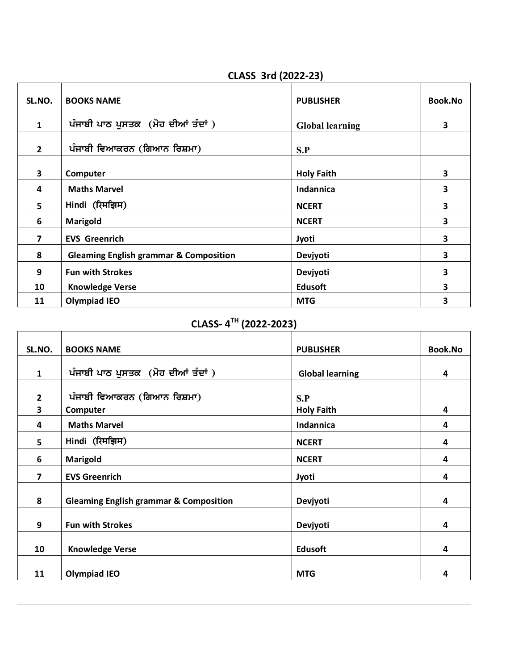#### **CLASS 3rd (2022-23)**

| SL.NO.         | <b>BOOKS NAME</b>                                 | <b>PUBLISHER</b>       | <b>Book.No</b> |
|----------------|---------------------------------------------------|------------------------|----------------|
| $\mathbf{1}$   | ਪੰਜਾਬੀ ਪਾਠ ਪੁਸਤਕ (ਮੋਹ ਦੀਆਂ ਤੰਦਾਂ )                | <b>Global learning</b> | 3              |
| $\overline{2}$ | ਪੰਜਾਬੀ ਵਿਆਕਰਨ (ਗਿਆਨ ਰਿਸ਼ਮਾ)                       | S.P                    |                |
| 3              | Computer                                          | <b>Holy Faith</b>      | 3              |
| 4              | <b>Maths Marvel</b>                               | Indannica              | 3              |
| 5              | Hindi (रिमझिम)                                    | <b>NCERT</b>           | 3              |
| 6              | <b>Marigold</b>                                   | <b>NCERT</b>           | 3              |
| 7              | <b>EVS Greenrich</b>                              | Jyoti                  | 3              |
| 8              | <b>Gleaming English grammar &amp; Composition</b> | Devjyoti               | 3              |
| 9              | <b>Fun with Strokes</b>                           | Devjyoti               | 3              |
| 10             | <b>Knowledge Verse</b>                            | <b>Edusoft</b>         | 3              |
| 11             | <b>Olympiad IEO</b>                               | <b>MTG</b>             | 3              |

## **CLASS- 4 TH (2022-2023)**

| SL.NO.         | <b>BOOKS NAME</b>                                 | <b>PUBLISHER</b>       | <b>Book.No</b> |
|----------------|---------------------------------------------------|------------------------|----------------|
|                |                                                   |                        |                |
| $\mathbf{1}$   | ਪੰਜਾਬੀ ਪਾਠ ਪੁਸਤਕ (ਮੋਹ ਦੀਆਂ ਤੰਦਾਂ)                 | <b>Global learning</b> | 4              |
| $\overline{2}$ | ਪੰਜਾਬੀ ਵਿਆਕਰਨ (ਗਿਆਨ ਰਿਸ਼ਮਾ)                       | S.P                    |                |
| 3              | Computer                                          | <b>Holy Faith</b>      | 4              |
| 4              | <b>Maths Marvel</b>                               | Indannica              | 4              |
| 5.             | Hindi (रिमझिम)                                    | <b>NCERT</b>           | 4              |
| 6              | Marigold                                          | <b>NCERT</b>           | 4              |
| 7              | <b>EVS Greenrich</b>                              | Jyoti                  | 4              |
| 8              | <b>Gleaming English grammar &amp; Composition</b> | Devjyoti               | 4              |
| 9              | <b>Fun with Strokes</b>                           | Devjyoti               | 4              |
| 10             | <b>Knowledge Verse</b>                            | <b>Edusoft</b>         | 4              |
| 11             | <b>Olympiad IEO</b>                               | <b>MTG</b>             | 4              |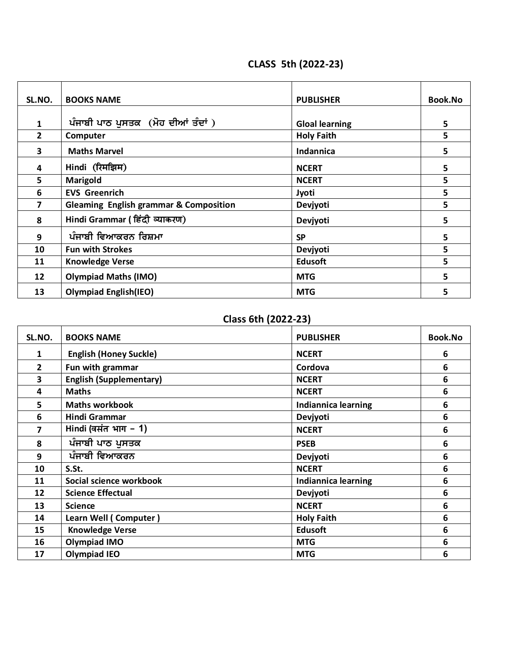## **CLASS 5th (2022-23)**

| SL.NO.       | <b>BOOKS NAME</b>                                 | <b>PUBLISHER</b>      | <b>Book.No</b> |
|--------------|---------------------------------------------------|-----------------------|----------------|
|              |                                                   |                       |                |
| $\mathbf{1}$ | ਪੰਜਾਬੀ ਪਾਠ ਪੁਸਤਕ (ਮੋਹ ਦੀਆਂ ਤੰਦਾਂ)                 | <b>Gloal learning</b> | 5              |
| $\mathbf{2}$ | Computer                                          | <b>Holy Faith</b>     | 5              |
| 3            | <b>Maths Marvel</b>                               | Indannica             | 5              |
| 4            | Hindi (रिमझिम)                                    | <b>NCERT</b>          | 5              |
| 5            | Marigold                                          | <b>NCERT</b>          | 5              |
| 6            | <b>EVS Greenrich</b>                              | Jyoti                 | 5              |
| 7            | <b>Gleaming English grammar &amp; Composition</b> | Devjyoti              | 5              |
| 8            | Hindi Grammar ( हिंदी व्याकरण)                    | Devjyoti              | 5              |
| 9            | ਪੰਜਾਬੀ ਵਿਆਕਰਨ ਰਿਸ਼ਮਾ                              | <b>SP</b>             | 5              |
| 10           | <b>Fun with Strokes</b>                           | Devjyoti              | 5              |
| 11           | <b>Knowledge Verse</b>                            | <b>Edusoft</b>        | 5              |
| 12           | <b>Olympiad Maths (IMO)</b>                       | <b>MTG</b>            | 5              |
| 13           | <b>Olympiad English(IEO)</b>                      | <b>MTG</b>            | 5              |

# **Class 6th (2022-23)**

| SL.NO.       | <b>BOOKS NAME</b>              | <b>PUBLISHER</b>           | <b>Book.No</b>   |
|--------------|--------------------------------|----------------------------|------------------|
| 1            | <b>English (Honey Suckle)</b>  | <b>NCERT</b>               | 6                |
| $\mathbf{2}$ | Fun with grammar               | Cordova                    | 6                |
| 3            | <b>English (Supplementary)</b> | <b>NCERT</b>               | 6                |
| 4            | <b>Maths</b>                   | <b>NCERT</b>               | 6                |
| 5            | <b>Maths workbook</b>          | <b>Indiannica learning</b> | 6                |
| 6            | Hindi Grammar                  | Devjyoti                   | 6                |
| 7            | Hindi (वसंत भाग - 1)           | <b>NCERT</b>               | 6                |
| 8            | ਪੰਜਾਬੀ ਪਾਠ ਪੁਸਤਕ               | <b>PSEB</b>                | 6                |
| 9            | ਪੰਜਾਬੀ ਵਿਆਕਰਨ                  | Devjyoti                   | 6                |
| 10           | S.St.                          | <b>NCERT</b>               | 6                |
| 11           | Social science workbook        | <b>Indiannica learning</b> | $6\phantom{1}6$  |
| 12           | <b>Science Effectual</b>       | Devjyoti                   | $6\phantom{1}6$  |
| 13           | <b>Science</b>                 | <b>NCERT</b>               | $\boldsymbol{6}$ |
| 14           | Learn Well (Computer)          | <b>Holy Faith</b>          | 6                |
| 15           | <b>Knowledge Verse</b>         | <b>Edusoft</b>             | 6                |
| 16           | Olympiad IMO                   | <b>MTG</b>                 | 6                |
| 17           | <b>Olympiad IEO</b>            | <b>MTG</b>                 | 6                |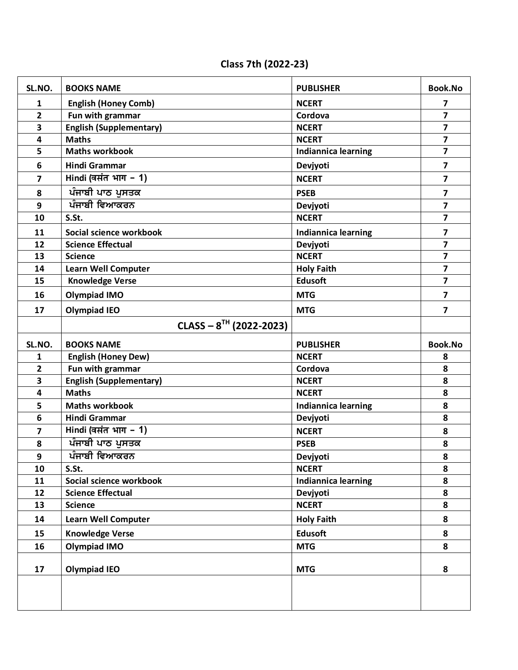**Class 7th (2022-23)**

| SL.NO.                  | <b>BOOKS NAME</b>                 | <b>PUBLISHER</b>           | <b>Book.No</b>          |
|-------------------------|-----------------------------------|----------------------------|-------------------------|
| $\mathbf{1}$            | <b>English (Honey Comb)</b>       | <b>NCERT</b>               | 7                       |
| $\overline{2}$          | Fun with grammar                  | Cordova                    | $\overline{\mathbf{z}}$ |
| $\overline{\mathbf{3}}$ | <b>English (Supplementary)</b>    | <b>NCERT</b>               | $\overline{\mathbf{z}}$ |
| 4                       | <b>Maths</b>                      | <b>NCERT</b>               | $\overline{7}$          |
| 5                       | <b>Maths workbook</b>             | <b>Indiannica learning</b> | $\overline{7}$          |
| 6                       | <b>Hindi Grammar</b>              | Devjyoti                   | $\overline{\mathbf{z}}$ |
| $\overline{\mathbf{z}}$ | $\overline{Hindi}$ (वसंत भाग - 1) | <b>NCERT</b>               | $\overline{\mathbf{z}}$ |
| 8                       | ਪੰਜਾਬੀ ਪਾਠ ਪੁਸਤਕ                  | <b>PSEB</b>                | $\overline{\mathbf{z}}$ |
| 9                       | ਪੰਜਾਬੀ ਵਿਆਕਰਨ                     | Devjyoti                   | $\overline{\mathbf{z}}$ |
| 10                      | S.St.                             | <b>NCERT</b>               | $\overline{\mathbf{z}}$ |
| 11                      | Social science workbook           | <b>Indiannica learning</b> | $\overline{\mathbf{z}}$ |
| 12                      | <b>Science Effectual</b>          | Devjyoti                   | $\overline{\mathbf{z}}$ |
| 13                      | <b>Science</b>                    | <b>NCERT</b>               | $\overline{\mathbf{z}}$ |
| 14                      | <b>Learn Well Computer</b>        | <b>Holy Faith</b>          | $\overline{\mathbf{z}}$ |
| 15                      | <b>Knowledge Verse</b>            | <b>Edusoft</b>             | $\overline{7}$          |
| 16                      | <b>Olympiad IMO</b>               | <b>MTG</b>                 | $\overline{\mathbf{z}}$ |
| 17                      | <b>Olympiad IEO</b>               | <b>MTG</b>                 | $\overline{\mathbf{z}}$ |
|                         | CLASS $-8^{TH}$ (2022-2023)       |                            |                         |
| SL.NO.                  | <b>BOOKS NAME</b>                 | <b>PUBLISHER</b>           | <b>Book.No</b>          |
| $\mathbf{1}$            | <b>English (Honey Dew)</b>        | <b>NCERT</b>               | 8                       |
| $\overline{2}$          | Fun with grammar                  | Cordova                    | 8                       |
| $\overline{\mathbf{3}}$ | <b>English (Supplementary)</b>    | <b>NCERT</b>               | 8                       |
| $\overline{\mathbf{4}}$ | <b>Maths</b>                      | <b>NCERT</b>               | 8                       |
| 5                       | <b>Maths workbook</b>             | <b>Indiannica learning</b> | 8                       |
| 6                       | <b>Hindi Grammar</b>              | Devjyoti                   | 8                       |
| $\overline{7}$          | Hindi (वसंत भाग - 1)              | <b>NCERT</b>               | 8                       |
| 8                       | ਪੰਜਾਬੀ ਪਾਠ ਪੁਸਤਕ                  | <b>PSEB</b>                | 8                       |
| 9                       | ਪੰਜਾਬੀ ਵਿਆਕਰਨ                     | Devjyoti                   | 8                       |
| 10                      | S.St.                             | <b>NCERT</b>               | 8                       |
| 11                      | Social science workbook           | <b>Indiannica learning</b> | 8                       |
| 12                      | <b>Science Effectual</b>          | Devjyoti                   | 8                       |
| 13                      | <b>Science</b>                    | <b>NCERT</b>               | 8                       |
| 14                      | <b>Learn Well Computer</b>        | <b>Holy Faith</b>          | 8                       |
| 15                      | <b>Knowledge Verse</b>            | <b>Edusoft</b>             | 8                       |
| 16                      | <b>Olympiad IMO</b>               | <b>MTG</b>                 | 8                       |
| 17                      | <b>Olympiad IEO</b>               | <b>MTG</b>                 | 8                       |
|                         |                                   |                            |                         |
|                         |                                   |                            |                         |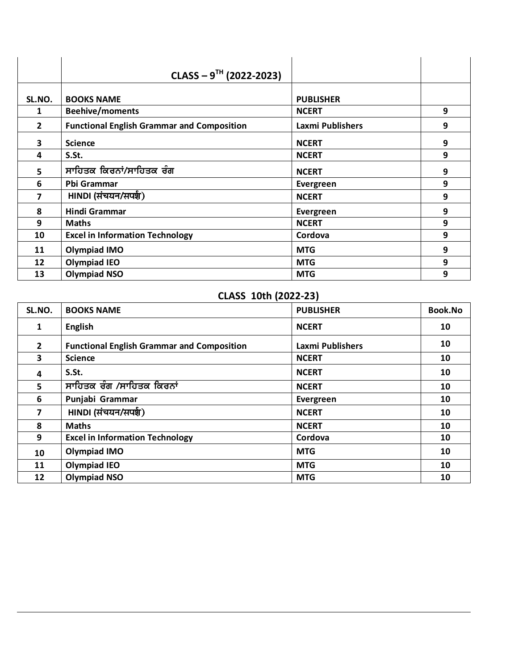|                | CLASS $-9^{TH}$ (2022-2023)                       |                         |   |
|----------------|---------------------------------------------------|-------------------------|---|
| SL.NO.         | <b>BOOKS NAME</b>                                 | <b>PUBLISHER</b>        |   |
| 1              | <b>Beehive/moments</b>                            | <b>NCERT</b>            | 9 |
| $\overline{2}$ | <b>Functional English Grammar and Composition</b> | <b>Laxmi Publishers</b> | 9 |
| 3              | <b>Science</b>                                    | <b>NCERT</b>            | 9 |
| 4              | S.St.                                             | <b>NCERT</b>            | 9 |
| 5              | ਸਾਹਿਤਕ ਕਿਰਨਾਂ/ਸਾਹਿਤਕ ਰੰਗ                          | <b>NCERT</b>            | 9 |
| 6              | Pbi Grammar                                       | Evergreen               | 9 |
| 7              | HINDI (संचयन/सपर्श)                               | <b>NCERT</b>            | 9 |
| 8              | Hindi Grammar                                     | Evergreen               | 9 |
| 9              | <b>Maths</b>                                      | <b>NCERT</b>            | 9 |
| 10             | <b>Excel in Information Technology</b>            | Cordova                 | 9 |
| 11             | <b>Olympiad IMO</b>                               | <b>MTG</b>              | 9 |
| 12             | <b>Olympiad IEO</b>                               | <b>MTG</b>              | 9 |
| 13             | <b>Olympiad NSO</b>                               | <b>MTG</b>              | 9 |

# **CLASS 10th (2022-23)**

| SL.NO.         | <b>BOOKS NAME</b>                                 | <b>PUBLISHER</b>        | <b>Book.No</b> |
|----------------|---------------------------------------------------|-------------------------|----------------|
| $\mathbf{1}$   | <b>English</b>                                    | <b>NCERT</b>            | 10             |
| $\mathbf{2}$   | <b>Functional English Grammar and Composition</b> | <b>Laxmi Publishers</b> | 10             |
| 3              | <b>Science</b>                                    | <b>NCERT</b>            | 10             |
| 4              | S.St.                                             | <b>NCERT</b>            | 10             |
| 5              | ਸਾਹਿਤਕ ਰੰਗ /ਸਾਹਿਤਕ ਕਿਰਨਾਂ                         | <b>NCERT</b>            | 10             |
| 6              | Punjabi Grammar                                   | Evergreen               | 10             |
| $\overline{7}$ | HINDI (संचयन/सपर्श)                               | <b>NCERT</b>            | 10             |
| 8              | <b>Maths</b>                                      | <b>NCERT</b>            | 10             |
| 9              | <b>Excel in Information Technology</b>            | Cordova                 | 10             |
| 10             | <b>Olympiad IMO</b>                               | <b>MTG</b>              | 10             |
| 11             | <b>Olympiad IEO</b>                               | <b>MTG</b>              | 10             |
| 12             | <b>Olympiad NSO</b>                               | <b>MTG</b>              | 10             |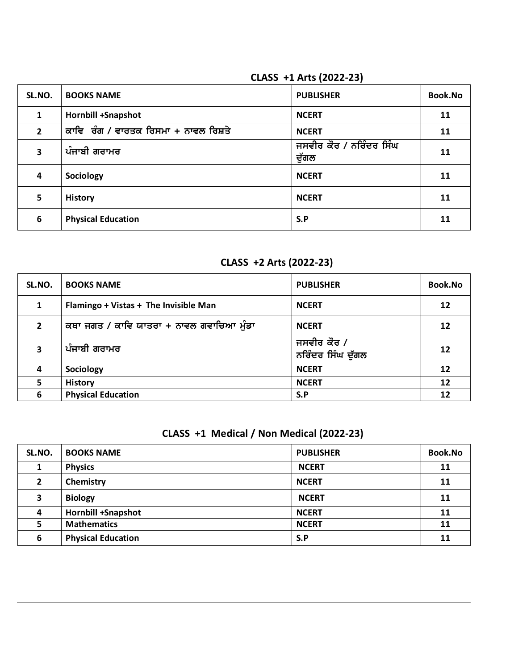### **CLASS +1 Arts (2022-23)**

| SL.NO.         | <b>BOOKS NAME</b>                    | <b>PUBLISHER</b>                 | <b>Book.No</b> |
|----------------|--------------------------------------|----------------------------------|----------------|
| 1              | <b>Hornbill +Snapshot</b>            | <b>NCERT</b>                     | 11             |
| $\overline{2}$ | ਕਾਵਿ ਰੰਗ / ਵਾਰਤਕ ਰਿਸਮਾ + ਨਾਵਲ ਰਿਸ਼ਤੇ | <b>NCERT</b>                     | 11             |
| 3              | ਪੰਜਾਬੀ ਗਰਾਮਰ                         | ਜਸਵੀਰ ਕੌਰ / ਨਰਿੰਦਰ ਸਿੰਘ<br>ਦੁੱਗਲ | 11             |
| 4              | Sociology                            | <b>NCERT</b>                     | 11             |
| 5              | <b>History</b>                       | <b>NCERT</b>                     | 11             |
| 6              | <b>Physical Education</b>            | S.P                              | 11             |

# **CLASS +2 Arts (2022-23)**

| SL.NO.         | <b>BOOKS NAME</b>                        | <b>PUBLISHER</b>                 | Book.No |
|----------------|------------------------------------------|----------------------------------|---------|
| 1              | Flamingo + Vistas + The Invisible Man    | <b>NCERT</b>                     | 12      |
| $\overline{2}$ | ਕਥਾ ਜਗਤ / ਕਾਵਿ ਯਾਤਰਾ + ਨਾਵਲ ਗਵਾਚਿਆ ਮੁੰਡਾ | <b>NCERT</b>                     | 12      |
| 3              | ਪੰਜਾਬੀ ਗਰਾਮਰ                             | ਜਸਵੀਰ ਕੌਰ /<br>ਨਰਿੰਦਰ ਸਿੰਘ ਦੁੱਗਲ | 12      |
| 4              | Sociology                                | <b>NCERT</b>                     | 12      |
| 5              | <b>History</b>                           | <b>NCERT</b>                     | 12      |
| 6              | <b>Physical Education</b>                | S.P                              | 12      |

# **CLASS +1 Medical / Non Medical (2022-23)**

| SL.NO.       | <b>BOOKS NAME</b>         | <b>PUBLISHER</b> | <b>Book.No</b> |
|--------------|---------------------------|------------------|----------------|
|              | <b>Physics</b>            | <b>NCERT</b>     | 11             |
| $\mathbf{2}$ | Chemistry                 | <b>NCERT</b>     | 11             |
| 3            | <b>Biology</b>            | <b>NCERT</b>     | 11             |
| 4            | <b>Hornbill +Snapshot</b> | <b>NCERT</b>     | 11             |
|              | <b>Mathematics</b>        | <b>NCERT</b>     | 11             |
| 6            | <b>Physical Education</b> | S.P              | 11             |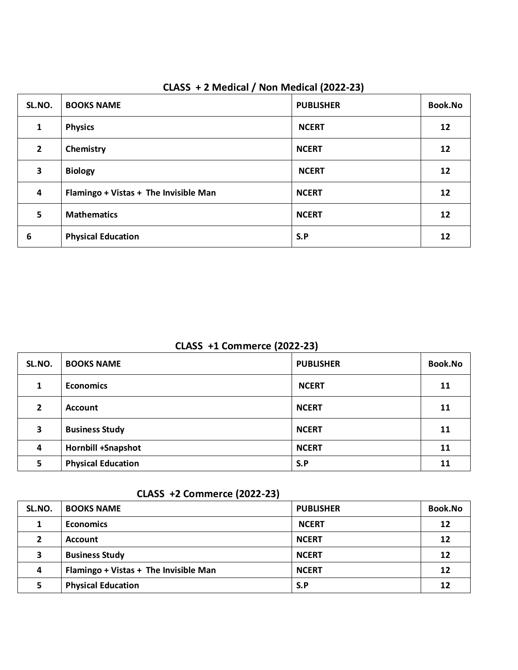| SL.NO.         | <b>BOOKS NAME</b>                     | <b>PUBLISHER</b> | <b>Book.No</b> |
|----------------|---------------------------------------|------------------|----------------|
| 1              | <b>Physics</b>                        | <b>NCERT</b>     | 12             |
| $\overline{2}$ | Chemistry                             | <b>NCERT</b>     | 12             |
| 3              | <b>Biology</b>                        | <b>NCERT</b>     | 12             |
| 4              | Flamingo + Vistas + The Invisible Man | <b>NCERT</b>     | 12             |
| 5              | <b>Mathematics</b>                    | <b>NCERT</b>     | 12             |
| 6              | <b>Physical Education</b>             | S.P              | 12             |

### **CLASS + 2 Medical / Non Medical (2022-23)**

 **CLASS +1 Commerce (2022-23)**

| SL.NO.         | <b>BOOKS NAME</b>         | <b>PUBLISHER</b> | <b>Book.No</b> |
|----------------|---------------------------|------------------|----------------|
| 1              | <b>Economics</b>          | <b>NCERT</b>     | 11             |
| $\overline{2}$ | <b>Account</b>            | <b>NCERT</b>     | 11             |
| 3              | <b>Business Study</b>     | <b>NCERT</b>     | 11             |
| 4              | <b>Hornbill +Snapshot</b> | <b>NCERT</b>     | 11             |
| 5              | <b>Physical Education</b> | S.P              | 11             |

# **CLASS +2 Commerce (2022-23)**

| SL.NO.       | <b>BOOKS NAME</b>                     | <b>PUBLISHER</b> | <b>Book.No</b> |
|--------------|---------------------------------------|------------------|----------------|
|              | <b>Economics</b>                      | <b>NCERT</b>     | 12             |
| $\mathbf{2}$ | <b>Account</b>                        | <b>NCERT</b>     | 12             |
| 3            | <b>Business Study</b>                 | <b>NCERT</b>     | 12             |
| 4            | Flamingo + Vistas + The Invisible Man | <b>NCERT</b>     | 12             |
|              | <b>Physical Education</b>             | S.P              | 12             |